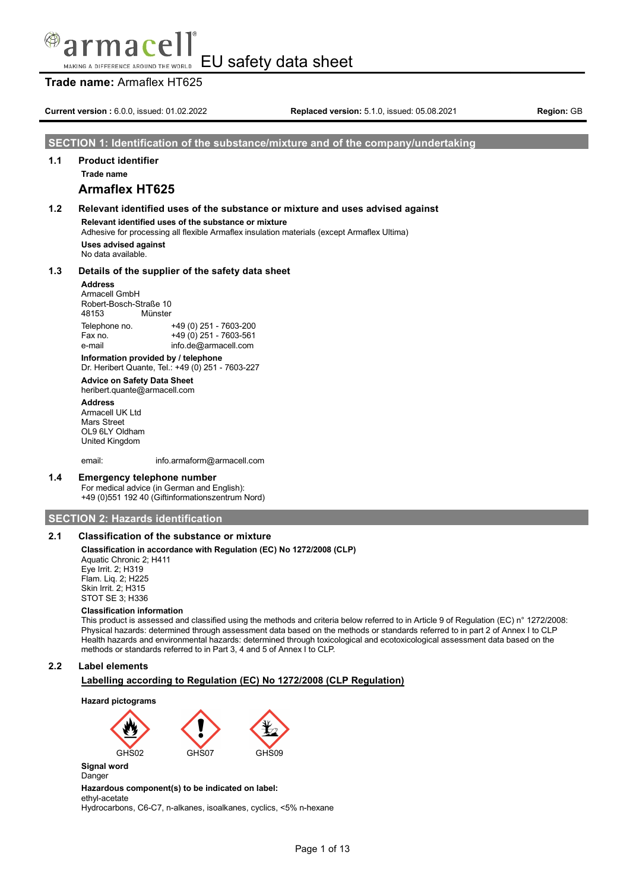#### ทลเ EU safety data sheet MAKING A DIFFERENCE AROUND THE WORLD

# **Trade name:** Armaflex HT625

**Current version :** 6.0.0, issued: 01.02.2022 **Replaced version:** 5.1.0, issued: 05.08.2021 **Region:** GB

#### **SECTION 1: Identification of the substance/mixture and of the company/undertaking**

# **1.1 Product identifier**

**Trade name**

# **Armaflex HT625**

# **1.2 Relevant identified uses of the substance or mixture and uses advised against Relevant identified uses of the substance or mixture** Adhesive for processing all flexible Armaflex insulation materials (except Armaflex Ultima)

**Uses advised against** No data available.

#### **1.3 Details of the supplier of the safety data sheet**

#### **Address**

Armacell GmbH Robert-Bosch-Straße 10 48153 Münster Telephone no. +49 (0) 251 - 7603-200  $+49(0)$  251 - 7603-561 e-mail info.de@armacell.com

**Information provided by / telephone** Dr. Heribert Quante, Tel.: +49 (0) 251 - 7603-227

#### **Advice on Safety Data Sheet**

heribert.quante@armacell.com

**Address** Armacell UK Ltd Mars Street OL9 6LY Oldham United Kingdom

email: info.armaform@armacell.com

#### **1.4 Emergency telephone number**

For medical advice (in German and English): +49 (0)551 192 40 (Giftinformationszentrum Nord)

#### **SECTION 2: Hazards identification**

# **2.1 Classification of the substance or mixture**

#### **Classification in accordance with Regulation (EC) No 1272/2008 (CLP)**

Aquatic Chronic 2; H411 Eye Irrit. 2; H319 Flam. Liq. 2; H225 Skin Irrit. 2; H315 STOT SE 3; H336

#### **Classification information**

This product is assessed and classified using the methods and criteria below referred to in Article 9 of Regulation (EC) n° 1272/2008: Physical hazards: determined through assessment data based on the methods or standards referred to in part 2 of Annex I to CLP Health hazards and environmental hazards: determined through toxicological and ecotoxicological assessment data based on the methods or standards referred to in Part 3, 4 and 5 of Annex I to CLP.

#### **2.2 Label elements**

#### **Labelling according to Regulation (EC) No 1272/2008 (CLP Regulation)**





#### **Signal word** Danger

**Hazardous component(s) to be indicated on label:**

ethyl-acetate

Hydrocarbons, C6-C7, n-alkanes, isoalkanes, cyclics, <5% n-hexane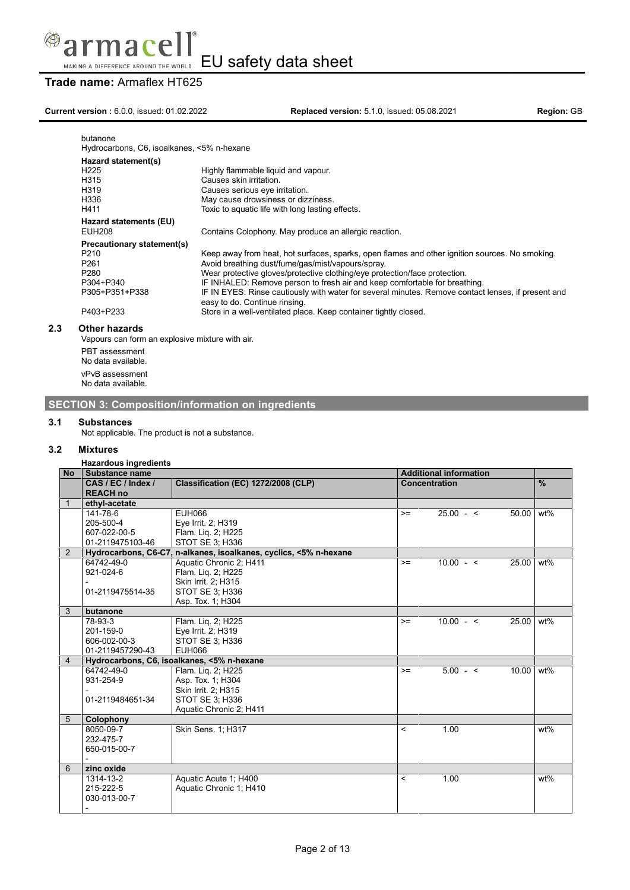

# **Trade name:** Armaflex HT625

# **Current version :** 6.0.0, issued: 01.02.2022 **Replaced version:** 5.1.0, issued: 05.08.2021 **Region:** GB

| butanone<br>Hydrocarbons, C6, isoalkanes, <5% n-hexane                                                                             |                                                                                                                                                                                                                                                                                                                                                                                                                                                                                                                            |
|------------------------------------------------------------------------------------------------------------------------------------|----------------------------------------------------------------------------------------------------------------------------------------------------------------------------------------------------------------------------------------------------------------------------------------------------------------------------------------------------------------------------------------------------------------------------------------------------------------------------------------------------------------------------|
| Hazard statement(s)<br>H <sub>225</sub><br>H315<br>H319<br>H336<br>H411                                                            | Highly flammable liquid and vapour.<br>Causes skin irritation.<br>Causes serious eye irritation.<br>May cause drowsiness or dizziness.<br>Toxic to aquatic life with long lasting effects.                                                                                                                                                                                                                                                                                                                                 |
| Hazard statements (EU)<br><b>EUH208</b>                                                                                            | Contains Colophony. May produce an allergic reaction.                                                                                                                                                                                                                                                                                                                                                                                                                                                                      |
| Precautionary statement(s)<br>P <sub>210</sub><br>P <sub>261</sub><br>P <sub>280</sub><br>P304+P340<br>P305+P351+P338<br>P403+P233 | Keep away from heat, hot surfaces, sparks, open flames and other ignition sources. No smoking.<br>Avoid breathing dust/fume/gas/mist/vapours/spray.<br>Wear protective gloves/protective clothing/eye protection/face protection.<br>IF INHALED: Remove person to fresh air and keep comfortable for breathing.<br>IF IN EYES: Rinse cautiously with water for several minutes. Remove contact lenses, if present and<br>easy to do. Continue rinsing.<br>Store in a well-ventilated place. Keep container tightly closed. |
| <b>Other hazards</b><br>Vapours can form an explosive mixture with air.                                                            |                                                                                                                                                                                                                                                                                                                                                                                                                                                                                                                            |

PBT assessment No data available.

> vPvB assessment No data available.

**SECTION 3: Composition/information on ingredients**

## **3.1 Substances**

Not applicable. The product is not a substance.

#### **3.2 Mixtures**

**2.3 Other hazards**

# **Hazardous ingredients**

| <b>No</b>      | Substance name     |                                                                   | <b>Additional information</b> |               |           |               |
|----------------|--------------------|-------------------------------------------------------------------|-------------------------------|---------------|-----------|---------------|
|                | CAS / EC / Index / | Classification (EC) 1272/2008 (CLP)                               |                               | Concentration |           | $\frac{9}{6}$ |
|                | <b>REACH no</b>    |                                                                   |                               |               |           |               |
|                | ethyl-acetate      |                                                                   |                               |               |           |               |
|                | 141-78-6           | EUH066                                                            | $>=$                          | $25.00 - 5$   | 50.00     | wt%           |
|                | 205-500-4          | Eye Irrit. 2; H319                                                |                               |               |           |               |
|                | 607-022-00-5       | Flam. Lig. 2; H225                                                |                               |               |           |               |
|                | 01-2119475103-46   | STOT SE 3; H336                                                   |                               |               |           |               |
| 2              |                    | Hydrocarbons, C6-C7, n-alkanes, isoalkanes, cyclics, <5% n-hexane |                               |               |           |               |
|                | 64742-49-0         | Aquatic Chronic 2; H411                                           | $>=$                          | $10.00 - 5$   | 25.00     | wt%           |
|                | 921-024-6          | Flam. Liq. 2; H225                                                |                               |               |           |               |
|                |                    | Skin Irrit. 2; H315                                               |                               |               |           |               |
|                | 01-2119475514-35   | STOT SE 3: H336                                                   |                               |               |           |               |
|                |                    | Asp. Tox. 1; H304                                                 |                               |               |           |               |
| 3              | butanone           |                                                                   |                               |               |           |               |
|                | 78-93-3            | Flam. Lig. 2; H225                                                | $>=$                          | $10.00 - 5$   | 25.00 wt% |               |
|                | 201-159-0          | Eye Irrit. 2; H319                                                |                               |               |           |               |
|                | 606-002-00-3       | STOT SE 3; H336                                                   |                               |               |           |               |
|                | 01-2119457290-43   | <b>EUH066</b>                                                     |                               |               |           |               |
| $\overline{4}$ |                    | Hydrocarbons, C6, isoalkanes, <5% n-hexane                        |                               |               |           |               |
|                | 64742-49-0         | Flam. Lig. 2; H225                                                | $>=$                          | $5.00 - <$    | 10.00     | wt%           |
|                | 931-254-9          | Asp. Tox. 1; H304                                                 |                               |               |           |               |
|                |                    | Skin Irrit. 2; H315                                               |                               |               |           |               |
|                | 01-2119484651-34   | STOT SE 3; H336                                                   |                               |               |           |               |
|                |                    | Aquatic Chronic 2; H411                                           |                               |               |           |               |
| 5              | Colophony          |                                                                   |                               |               |           |               |
|                | 8050-09-7          | Skin Sens. 1; H317                                                | $\overline{\phantom{0}}$      | 1.00          |           | wt%           |
|                | 232-475-7          |                                                                   |                               |               |           |               |
|                | 650-015-00-7       |                                                                   |                               |               |           |               |
|                |                    |                                                                   |                               |               |           |               |
| 6              | zinc oxide         |                                                                   |                               |               |           |               |
|                | 1314-13-2          | Aquatic Acute 1; H400                                             | $\,<\,$                       | 1.00          |           | $wt\%$        |
|                | 215-222-5          | Aquatic Chronic 1; H410                                           |                               |               |           |               |
|                | 030-013-00-7       |                                                                   |                               |               |           |               |
|                |                    |                                                                   |                               |               |           |               |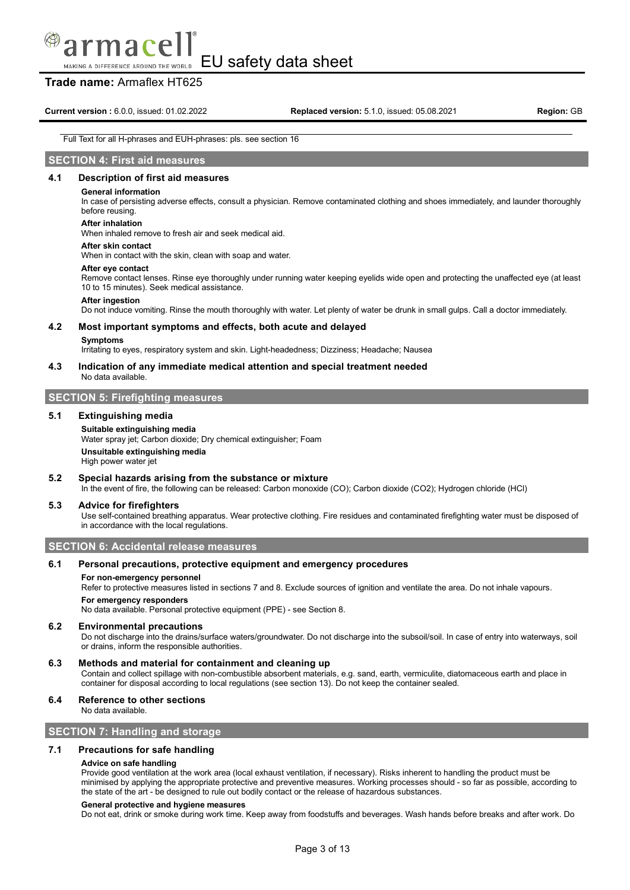# macel

EU safety data sheet MAKING A DIFFERENCE AROUND THE WORLD

# **Trade name:** Armaflex HT625

**Current version :** 6.0.0, issued: 01.02.2022 **Replaced version:** 5.1.0, issued: 05.08.2021 **Region:** GB

#### Full Text for all H-phrases and EUH-phrases: pls. see section 16

### **SECTION 4: First aid measures**

#### **4.1 Description of first aid measures**

#### **General information**

In case of persisting adverse effects, consult a physician. Remove contaminated clothing and shoes immediately, and launder thoroughly before reusing.

#### **After inhalation**

When inhaled remove to fresh air and seek medical aid.

#### **After skin contact**

When in contact with the skin, clean with soap and water.

#### **After eye contact**

Remove contact lenses. Rinse eye thoroughly under running water keeping eyelids wide open and protecting the unaffected eye (at least 10 to 15 minutes). Seek medical assistance.

#### **After ingestion**

Do not induce vomiting. Rinse the mouth thoroughly with water. Let plenty of water be drunk in small gulps. Call a doctor immediately.

#### **4.2 Most important symptoms and effects, both acute and delayed**

#### **Symptoms**

Irritating to eyes, respiratory system and skin. Light-headedness; Dizziness; Headache; Nausea

#### **4.3 Indication of any immediate medical attention and special treatment needed**

No data available.

# **SECTION 5: Firefighting measures**

#### **5.1 Extinguishing media**

#### **Suitable extinguishing media**

Water spray jet; Carbon dioxide; Dry chemical extinguisher; Foam **Unsuitable extinguishing media** High power water jet

#### **5.2 Special hazards arising from the substance or mixture**

In the event of fire, the following can be released: Carbon monoxide (CO); Carbon dioxide (CO2); Hydrogen chloride (HCl)

#### **5.3 Advice for firefighters**

Use self-contained breathing apparatus. Wear protective clothing. Fire residues and contaminated firefighting water must be disposed of in accordance with the local regulations.

**SECTION 6: Accidental release measures**

#### **6.1 Personal precautions, protective equipment and emergency procedures**

#### **For non-emergency personnel**

Refer to protective measures listed in sections 7 and 8. Exclude sources of ignition and ventilate the area. Do not inhale vapours.

#### **For emergency responders**

No data available. Personal protective equipment (PPE) - see Section 8.

#### **6.2 Environmental precautions**

Do not discharge into the drains/surface waters/groundwater. Do not discharge into the subsoil/soil. In case of entry into waterways, soil or drains, inform the responsible authorities.

#### **6.3 Methods and material for containment and cleaning up**

Contain and collect spillage with non-combustible absorbent materials, e.g. sand, earth, vermiculite, diatomaceous earth and place in container for disposal according to local regulations (see section 13). Do not keep the container sealed.

#### **6.4 Reference to other sections**

No data available.

#### **SECTION 7: Handling and storage**

#### **7.1 Precautions for safe handling**

#### **Advice on safe handling**

Provide good ventilation at the work area (local exhaust ventilation, if necessary). Risks inherent to handling the product must be minimised by applying the appropriate protective and preventive measures. Working processes should - so far as possible, according to the state of the art - be designed to rule out bodily contact or the release of hazardous substances.

#### **General protective and hygiene measures**

Do not eat, drink or smoke during work time. Keep away from foodstuffs and beverages. Wash hands before breaks and after work. Do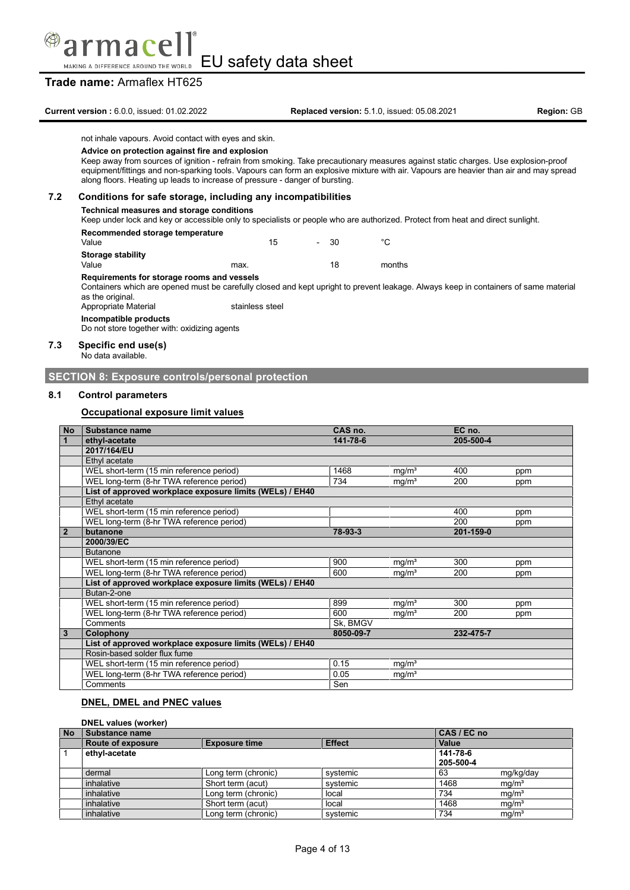

# **Trade name:** Armaflex HT625

**Current version :** 6.0.0, issued: 01.02.2022 **Replaced version:** 5.1.0, issued: 05.08.2021 **Region:** GB

not inhale vapours. Avoid contact with eyes and skin.

#### **Advice on protection against fire and explosion**

Keep away from sources of ignition - refrain from smoking. Take precautionary measures against static charges. Use explosion-proof equipment/fittings and non-sparking tools. Vapours can form an explosive mixture with air. Vapours are heavier than air and may spread along floors. Heating up leads to increase of pressure - danger of bursting.

#### **7.2 Conditions for safe storage, including any incompatibilities**

#### **Technical measures and storage conditions**

Keep under lock and key or accessible only to specialists or people who are authorized. Protect from heat and direct sunlight.

#### **Recommended storage temperature**

| waannii ahaa alafaa tanibaratara<br>Value |      | 15 | $\sim$ | - 30 | °C     |
|-------------------------------------------|------|----|--------|------|--------|
| <b>Storage stability</b>                  |      |    |        |      |        |
| Value                                     | max. |    |        | 18   | months |

#### **Requirements for storage rooms and vessels**

Containers which are opened must be carefully closed and kept upright to prevent leakage. Always keep in containers of same material as the original.

Appropriate Material stainless steel

**Incompatible products**

Do not store together with: oxidizing agents

#### **7.3 Specific end use(s)**

No data available.

#### **SECTION 8: Exposure controls/personal protection**

#### **8.1 Control parameters**

#### **Occupational exposure limit values**

| No             | Substance name                                           | CAS no.   |                   | EC no.    |     |
|----------------|----------------------------------------------------------|-----------|-------------------|-----------|-----|
| $\overline{1}$ | ethyl-acetate                                            | 141-78-6  |                   | 205-500-4 |     |
|                | 2017/164/EU                                              |           |                   |           |     |
|                | Ethyl acetate                                            |           |                   |           |     |
|                | WEL short-term (15 min reference period)                 | 1468      | mg/m <sup>3</sup> | 400       | ppm |
|                | WEL long-term (8-hr TWA reference period)                | 734       | mg/m <sup>3</sup> | 200       | ppm |
|                | List of approved workplace exposure limits (WELs) / EH40 |           |                   |           |     |
|                | Ethyl acetate                                            |           |                   |           |     |
|                | WEL short-term (15 min reference period)                 |           |                   | 400       | ppm |
|                | WEL long-term (8-hr TWA reference period)                |           |                   | 200       | ppm |
| $\overline{2}$ | butanone                                                 | 78-93-3   |                   | 201-159-0 |     |
|                | 2000/39/EC                                               |           |                   |           |     |
|                | <b>Butanone</b>                                          |           |                   |           |     |
|                | WEL short-term (15 min reference period)                 | 900       | mg/m <sup>3</sup> | 300       | ppm |
|                | WEL long-term (8-hr TWA reference period)                | 600       | mg/m <sup>3</sup> | 200       | ppm |
|                | List of approved workplace exposure limits (WELs) / EH40 |           |                   |           |     |
|                | Butan-2-one                                              |           |                   |           |     |
|                | WEL short-term (15 min reference period)                 | 899       | mq/m <sup>3</sup> | 300       | ppm |
|                | WEL long-term (8-hr TWA reference period)                | 600       | $mg/m^3$          | 200       | ppm |
|                | Comments                                                 | Sk, BMGV  |                   |           |     |
| $\overline{3}$ | Colophony                                                | 8050-09-7 |                   | 232-475-7 |     |
|                | List of approved workplace exposure limits (WELs) / EH40 |           |                   |           |     |
|                | Rosin-based solder flux fume                             |           |                   |           |     |
|                | WEL short-term (15 min reference period)                 | 0.15      | mg/m <sup>3</sup> |           |     |
|                | WEL long-term (8-hr TWA reference period)                | 0.05      | mg/m <sup>3</sup> |           |     |
|                | Comments                                                 | Sen       |                   |           |     |

# **DNEL, DMEL and PNEC values**

#### **DNEL values (worker) No Substance name CAS** / **EC no Route of exposure** *CES EC* **<b>EC** *CAS CAS CAS CAS CAS CAS CAS CAS CAS CAS CAS CAS CAS CAS CAS CAS CAS CAS* **Route of exposure Exposure Exposure time** 1 **ethyl-acetate 141-78-6 205-500-4** dermal Long term (chronic) systemic 63 mg/kg/day<br>inhalative Short term (acut) systemic 1468 mg/m<sup>3</sup> Short term (acut) systemic 1468 mg/m<sup>3</sup><br>
l ong term (chronic) local 734 mg/m<sup>3</sup> inhalative Long term (chronic) and local and the local and the mg/man mg/man local and the local and the mg/ma inhalative Short term (acut) local 1468 mg/m<sup>3</sup><br>
inhalative Long term (chronic) systemic 734 mg/m<sup>3</sup> Long term (chronic)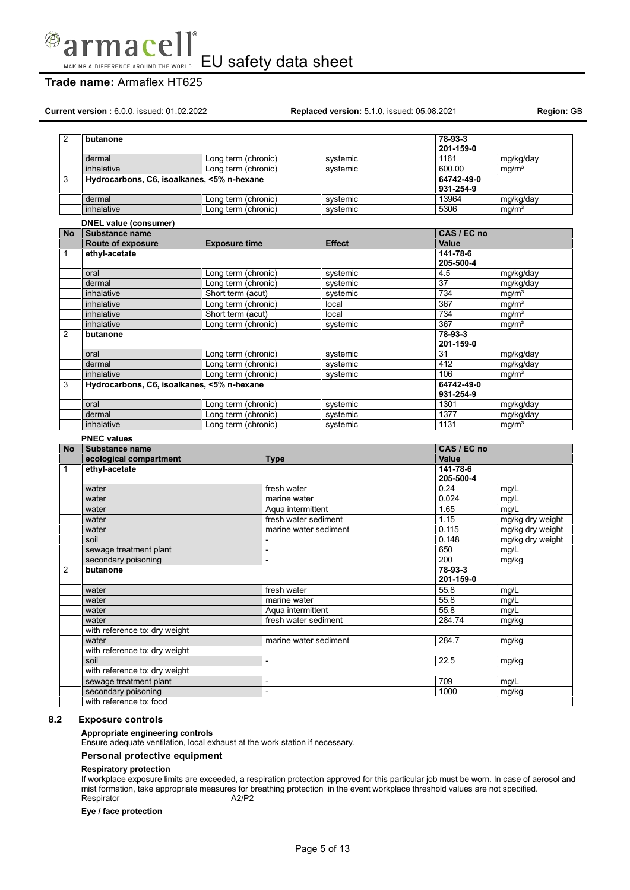

# **Trade name:** Armaflex HT625

**Current version :** 6.0.0, issued: 01.02.2022 **Replaced version:** 5.1.0, issued: 05.08.2021 **Region:** GB

| 2              | butanone                                       |                      |                          |                       | 78-93-3                     |                   |
|----------------|------------------------------------------------|----------------------|--------------------------|-----------------------|-----------------------------|-------------------|
|                |                                                |                      |                          |                       | 201-159-0                   |                   |
|                | dermal                                         | Long term (chronic)  |                          | systemic              | 1161                        | mg/kg/day         |
|                | inhalative                                     | Long term (chronic)  |                          | systemic              | 600.00                      | mq/m <sup>3</sup> |
| 3              | Hydrocarbons, C6, isoalkanes, <5% n-hexane     |                      |                          |                       | 64742-49-0<br>931-254-9     |                   |
|                | dermal                                         | Long term (chronic)  |                          | systemic              | 13964                       | mg/kg/day         |
|                | inhalative                                     | Long term (chronic)  |                          | systemic              | 5306                        | mq/m <sup>3</sup> |
|                | DNEL value (consumer)                          |                      |                          |                       |                             |                   |
| No             | Substance name                                 |                      |                          |                       | CAS / EC no                 |                   |
|                | <b>Route of exposure</b>                       | <b>Exposure time</b> |                          | <b>Effect</b>         | <b>Value</b>                |                   |
| $\mathbf{1}$   | ethyl-acetate                                  |                      |                          |                       | $141 - 78 - 6$<br>205-500-4 |                   |
|                | oral                                           | Long term (chronic)  |                          | systemic              | 4.5                         | mg/kg/day         |
|                | dermal                                         | Long term (chronic)  |                          | systemic              | $\overline{37}$             | mg/kg/day         |
|                | inhalative                                     | Short term (acut)    |                          | systemic              | 734                         | mg/m <sup>3</sup> |
|                | inhalative                                     | Long term (chronic)  |                          | local                 | 367                         | mg/m <sup>3</sup> |
|                | inhalative                                     | Short term (acut)    |                          | local                 | 734                         | mg/m <sup>3</sup> |
|                | inhalative                                     | Long term (chronic)  |                          | systemic              | 367                         | mg/m <sup>3</sup> |
| $\overline{2}$ | butanone                                       |                      |                          |                       | 78-93-3<br>201-159-0        |                   |
|                | oral                                           | Long term (chronic)  |                          | systemic              | 31                          | mg/kg/day         |
|                | dermal                                         | Long term (chronic)  |                          | systemic              | 412                         | mg/kg/day         |
|                | inhalative                                     | Long term (chronic)  |                          | systemic              | 106                         | mq/m <sup>3</sup> |
| 3              | Hydrocarbons, C6, isoalkanes, <5% n-hexane     |                      |                          |                       | 64742-49-0<br>931-254-9     |                   |
|                | oral                                           | Long term (chronic)  |                          | systemic              | 1301                        | mg/kg/day         |
|                | dermal                                         | Long term (chronic)  |                          | systemic              | 1377                        | mg/kg/day         |
|                | inhalative                                     | Long term (chronic)  |                          | systemic              | 1131                        | mg/m <sup>3</sup> |
|                | <b>PNEC values</b>                             |                      |                          |                       |                             |                   |
| <b>No</b>      | Substance name                                 |                      |                          |                       | CAS / EC no                 |                   |
|                | ecological compartment                         |                      | <b>Type</b>              |                       | <b>Value</b>                |                   |
| 1              | ethyl-acetate                                  |                      |                          |                       | 141-78-6<br>205-500-4       |                   |
|                | water                                          |                      | fresh water              |                       | 0.24                        | mg/L              |
|                | water                                          |                      | marine water             |                       | 0.024                       | mg/L              |
|                | water                                          |                      | Aqua intermittent        |                       | 1.65                        | mg/L              |
|                | water                                          |                      | fresh water sediment     |                       | 1.15                        | mg/kg dry weight  |
|                | water                                          |                      | marine water sediment    |                       | 0.115                       | mg/kg dry weight  |
|                | soil                                           |                      |                          |                       | 0.148                       | mg/kg dry weight  |
|                | sewage treatment plant                         |                      | $\overline{\phantom{a}}$ |                       | 650                         | mg/L              |
|                | secondary poisoning                            |                      | $\overline{\phantom{a}}$ |                       | 200                         | mg/kg             |
| $\overline{2}$ | butanone                                       |                      |                          |                       | $78 - 93 - 3$<br>201-159-0  |                   |
|                | water                                          |                      | fresh water              |                       | 55.8                        | mg/L              |
|                | water                                          |                      | marine water             |                       | 55.8                        | mg/L              |
|                | water                                          |                      | Aqua intermittent        |                       | 55.8                        | mg/L              |
|                | water                                          |                      | fresh water sediment     |                       | 284.74                      | mg/kg             |
|                | with reference to: dry weight                  |                      |                          |                       |                             |                   |
|                |                                                |                      |                          | marine water sediment | 284.7                       | mg/kg             |
|                | water                                          |                      |                          |                       |                             |                   |
|                | with reference to: dry weight                  |                      |                          |                       |                             |                   |
|                | soil                                           |                      | $\overline{\phantom{a}}$ |                       | 22.5                        | mg/kg             |
|                | with reference to: dry weight                  |                      |                          |                       |                             |                   |
|                | sewage treatment plant                         |                      | $\overline{\phantom{0}}$ |                       | 709                         | mg/L              |
|                | secondary poisoning<br>with reference to: food |                      | $\overline{\phantom{0}}$ |                       | 1000                        | mg/kg             |

### **8.2 Exposure controls**

**Appropriate engineering controls**

Ensure adequate ventilation, local exhaust at the work station if necessary.

#### **Personal protective equipment**

#### **Respiratory protection**

If workplace exposure limits are exceeded, a respiration protection approved for this particular job must be worn. In case of aerosol and mist formation, take appropriate measures for breathing protection in the event workplace threshold values are not specified.<br>Respirator  $A2/P2$ Respirator

**Eye / face protection**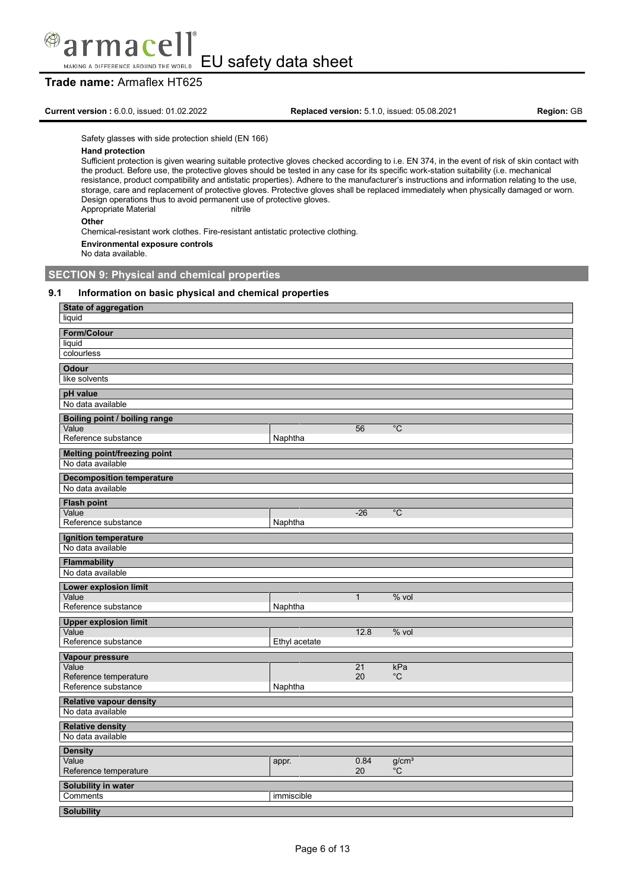

# **Trade name:** Armaflex HT625

**Current version :** 6.0.0, issued: 01.02.2022 **Replaced version:** 5.1.0, issued: 05.08.2021 **Region:** GB

Safety glasses with side protection shield (EN 166)

#### **Hand protection**

Sufficient protection is given wearing suitable protective gloves checked according to i.e. EN 374, in the event of risk of skin contact with the product. Before use, the protective gloves should be tested in any case for its specific work-station suitability (i.e. mechanical resistance, product compatibility and antistatic properties). Adhere to the manufacturer's instructions and information relating to the use, storage, care and replacement of protective gloves. Protective gloves shall be replaced immediately when physically damaged or worn. Design operations thus to avoid permanent use of protective gloves. Appropriate Material nitrile

#### **Other**

Chemical-resistant work clothes. Fire-resistant antistatic protective clothing.

#### **Environmental exposure controls**

No data available.

# **SECTION 9: Physical and chemical properties**

#### **9.1 Information on basic physical and chemical properties**

| State of aggregation<br>liquid                      |               |              |                   |
|-----------------------------------------------------|---------------|--------------|-------------------|
|                                                     |               |              |                   |
| Form/Colour<br>liquid                               |               |              |                   |
| colourless                                          |               |              |                   |
| <b>Odour</b>                                        |               |              |                   |
| like solvents                                       |               |              |                   |
| pH value                                            |               |              |                   |
| No data available                                   |               |              |                   |
| Boiling point / boiling range                       |               |              |                   |
| Value                                               |               | 56           | $^{\circ}C$       |
| Reference substance                                 | Naphtha       |              |                   |
| <b>Melting point/freezing point</b>                 |               |              |                   |
| No data available                                   |               |              |                   |
| <b>Decomposition temperature</b>                    |               |              |                   |
| No data available                                   |               |              |                   |
| <b>Flash point</b>                                  |               |              |                   |
| Value                                               |               | $-26$        | $\overline{C}$    |
| Reference substance                                 | Naphtha       |              |                   |
| Ignition temperature                                |               |              |                   |
| No data available                                   |               |              |                   |
| <b>Flammability</b><br>No data available            |               |              |                   |
|                                                     |               |              |                   |
| <b>Lower explosion limit</b><br>Value               |               | $\mathbf{1}$ | $%$ vol           |
| Reference substance                                 | Naphtha       |              |                   |
| <b>Upper explosion limit</b>                        |               |              |                   |
| Value                                               |               | 12.8         | % vol             |
| Reference substance                                 | Ethyl acetate |              |                   |
| Vapour pressure                                     |               |              |                   |
| Value                                               |               | 21           | kPa               |
| Reference temperature<br>Reference substance        | Naphtha       | 20           | $^{\circ}C$       |
|                                                     |               |              |                   |
| <b>Relative vapour density</b><br>No data available |               |              |                   |
|                                                     |               |              |                   |
| <b>Relative density</b><br>No data available        |               |              |                   |
|                                                     |               |              |                   |
| <b>Density</b><br>Value                             | appr.         | 0.84         | g/cm <sup>3</sup> |
| Reference temperature                               |               | 20           | °C                |
| Solubility in water                                 |               |              |                   |
| Comments                                            | immiscible    |              |                   |
| <b>Solubility</b>                                   |               |              |                   |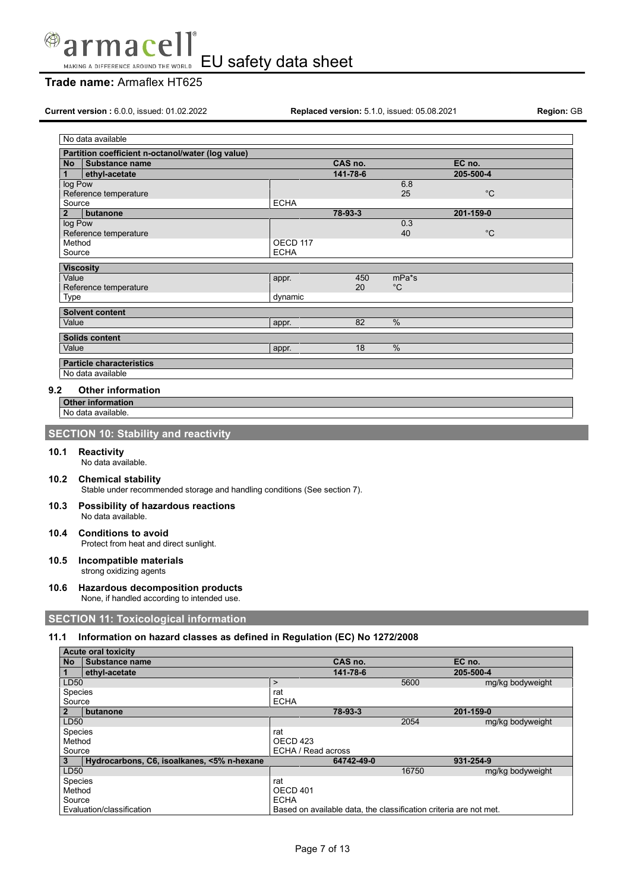

# **Trade name:** Armaflex HT625

**Current version :** 6.0.0, issued: 01.02.2022 **Replaced version:** 5.1.0, issued: 05.08.2021 **Region:** GB

| No data available                                 |             |          |              |             |  |
|---------------------------------------------------|-------------|----------|--------------|-------------|--|
| Partition coefficient n-octanol/water (log value) |             |          |              |             |  |
| Substance name<br>No                              |             | CAS no.  |              | EC no.      |  |
| 1<br>ethyl-acetate                                |             | 141-78-6 |              | 205-500-4   |  |
| log Pow                                           |             |          | 6.8          |             |  |
| Reference temperature                             |             |          | 25           | $^{\circ}C$ |  |
| Source                                            | <b>ECHA</b> |          |              |             |  |
| $\overline{2}$<br>butanone                        |             | 78-93-3  |              | 201-159-0   |  |
| log Pow                                           |             |          | 0.3          |             |  |
| Reference temperature                             |             |          | 40           | $^{\circ}C$ |  |
| Method                                            | OECD 117    |          |              |             |  |
| Source                                            | <b>ECHA</b> |          |              |             |  |
| <b>Viscosity</b>                                  |             |          |              |             |  |
| Value                                             | appr.       | 450      | mPa*s        |             |  |
| Reference temperature                             |             | 20       | $^{\circ}$ C |             |  |
| Type                                              | dynamic     |          |              |             |  |
| <b>Solvent content</b>                            |             |          |              |             |  |
| Value                                             |             | 82       | %            |             |  |
|                                                   | appr.       |          |              |             |  |
| <b>Solids content</b>                             |             |          |              |             |  |
| Value                                             | appr.       | 18       | %            |             |  |
| <b>Particle characteristics</b>                   |             |          |              |             |  |
| No data available                                 |             |          |              |             |  |

#### **9.2 Other information**

**Other information**

No data available.

# **SECTION 10: Stability and reactivity**

#### **10.1 Reactivity**

- No data available.
- **10.2 Chemical stability**

Stable under recommended storage and handling conditions (See section 7).

- **10.3 Possibility of hazardous reactions** No data available.
- **10.4 Conditions to avoid** Protect from heat and direct sunlight.
- **10.5 Incompatible materials** strong oxidizing agents
- **10.6 Hazardous decomposition products** None, if handled according to intended use.

# **SECTION 11: Toxicological information**

#### **11.1 Information on hazard classes as defined in Regulation (EC) No 1272/2008**

|           | <b>Acute oral toxicity</b>                 |                    |            |       |                                                                   |
|-----------|--------------------------------------------|--------------------|------------|-------|-------------------------------------------------------------------|
| <b>No</b> | l Substance name                           |                    | CAS no.    |       | EC no.                                                            |
|           | ethyl-acetate                              |                    | 141-78-6   |       | 205-500-4                                                         |
| LD50      |                                            | $\geq$             |            | 5600  | mg/kg bodyweight                                                  |
| Species   |                                            | rat                |            |       |                                                                   |
| Source    |                                            | <b>ECHA</b>        |            |       |                                                                   |
|           | butanone                                   |                    | 78-93-3    |       | 201-159-0                                                         |
| LD50      |                                            |                    |            | 2054  | mg/kg bodyweight                                                  |
| Species   |                                            | rat                |            |       |                                                                   |
| Method    |                                            | OECD 423           |            |       |                                                                   |
| Source    |                                            | ECHA / Read across |            |       |                                                                   |
|           | Hydrocarbons, C6, isoalkanes, <5% n-hexane |                    | 64742-49-0 |       | 931-254-9                                                         |
| LD50      |                                            |                    |            | 16750 | mg/kg bodyweight                                                  |
| Species   |                                            | rat                |            |       |                                                                   |
| Method    |                                            | <b>OECD 401</b>    |            |       |                                                                   |
| Source    |                                            | <b>ECHA</b>        |            |       |                                                                   |
|           | Evaluation/classification                  |                    |            |       | Based on available data, the classification criteria are not met. |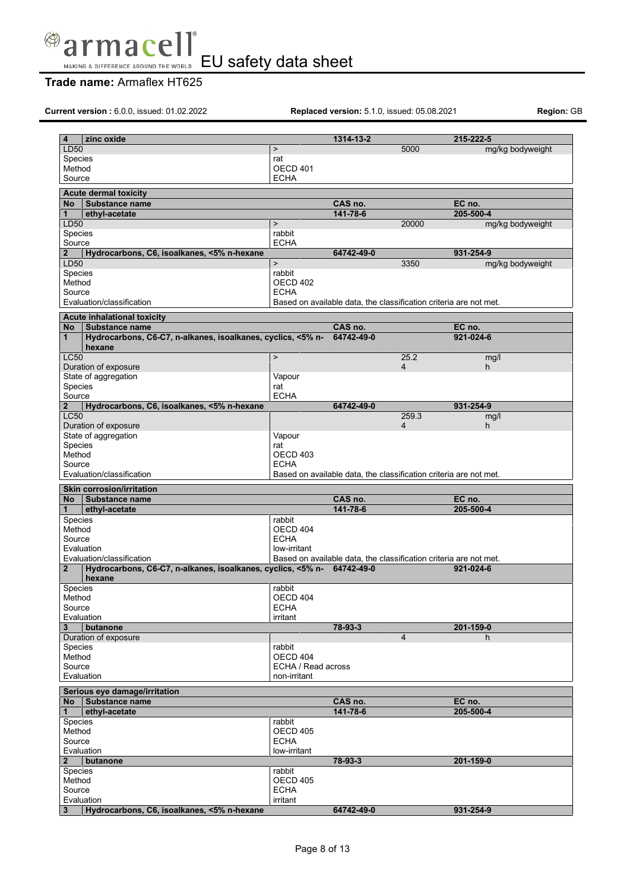

EU safety data sheet MAKING A DIFFERENCE AROUND THE WORLD

# **Trade name:** Armaflex HT625

**Current version :** 6.0.0, issued: 01.02.2022 **Replaced version:** 5.1.0, issued: 05.08.2021 **Region:** GB

| LD50<br>5000<br>mg/kg bodyweight<br>$\, > \,$<br>Species<br>rat<br>Method<br>OECD 401<br><b>ECHA</b><br>Source<br><b>Acute dermal toxicity</b><br>CAS no.<br><b>Substance name</b><br>EC no.<br>No l<br>141-78-6<br>205-500-4<br>ethyl-acetate<br>1<br>LD50<br>$\mathbf{I}$<br>20000<br>mg/kg bodyweight<br>Species<br>rabbit<br>Source<br><b>ECHA</b><br>931-254-9<br>Hydrocarbons, C6, isoalkanes, <5% n-hexane<br>64742-49-0<br>3350<br>LD50<br>$\mathbf{I}$<br>mg/kg bodyweight<br>rabbit<br>Species<br>OECD 402<br>Method<br>Source<br><b>ECHA</b><br>Evaluation/classification<br>Based on available data, the classification criteria are not met.<br><b>Acute inhalational toxicity</b><br>CAS no.<br>EC no.<br><b>No</b><br><b>Substance name</b><br>Hydrocarbons, C6-C7, n-alkanes, isoalkanes, cyclics, <5% n-<br>64742-49-0<br>921-024-6<br>hexane<br>25.2<br>$\mathbf{I}$<br>mg/l<br>Duration of exposure<br>$\overline{4}$<br>h.<br>Vapour<br>State of aggregation<br><b>Species</b><br>rat<br>Source<br><b>ECHA</b><br>$\mathbf 2$<br>Hydrocarbons, C6, isoalkanes, <5% n-hexane<br>64742-49-0<br>931-254-9<br>259.3<br>mg/l<br>Duration of exposure<br>$\overline{4}$<br>h.<br>State of aggregation<br>Vapour<br>Species<br>rat<br>Method<br>OECD 403<br>Source<br><b>ECHA</b><br>Evaluation/classification<br>Based on available data, the classification criteria are not met.<br><b>Skin corrosion/irritation</b><br>CAS no.<br><b>Substance name</b><br>EC no.<br>No<br>141-78-6<br>205-500-4<br>ethyl-acetate<br><b>Species</b><br>rabbit<br>Method<br>OECD 404<br><b>ECHA</b><br>Source<br>Evaluation<br>low-irritant<br>Evaluation/classification<br>Based on available data, the classification criteria are not met.<br>Hydrocarbons, C6-C7, n-alkanes, isoalkanes, cyclics, <5% n- 64742-49-0<br>$\overline{2}$<br>921-024-6<br>hexane<br>Species<br>rabbit<br>OECD 404<br>Method<br>Source<br><b>ECHA</b><br>Evaluation<br>irritant<br>78-93-3<br>201-159-0<br>3<br>butanone<br>Duration of exposure<br>$\overline{4}$<br>h.<br>rabbit<br><b>Species</b><br>OECD 404<br>Method<br>Source<br>ECHA / Read across<br>Evaluation<br>non-irritant<br>Serious eye damage/irritation<br>CAS no.<br>No Substance name<br>EC no.<br>141-78-6<br>205-500-4<br>ethyl-acetate<br>Species<br>rabbit<br>Method<br>OECD 405<br>Source<br><b>ECHA</b><br>Evaluation<br>low-irritant<br>78-93-3<br>201-159-0<br>butanone<br>rabbit<br>Species<br>Method<br><b>OECD 405</b><br>Source<br><b>ECHA</b><br>Evaluation<br>irritant<br>Hydrocarbons, C6, isoalkanes, <5% n-hexane<br>64742-49-0<br>931-254-9<br>$\mathbf{3}$ |                |            |           |           |  |
|----------------------------------------------------------------------------------------------------------------------------------------------------------------------------------------------------------------------------------------------------------------------------------------------------------------------------------------------------------------------------------------------------------------------------------------------------------------------------------------------------------------------------------------------------------------------------------------------------------------------------------------------------------------------------------------------------------------------------------------------------------------------------------------------------------------------------------------------------------------------------------------------------------------------------------------------------------------------------------------------------------------------------------------------------------------------------------------------------------------------------------------------------------------------------------------------------------------------------------------------------------------------------------------------------------------------------------------------------------------------------------------------------------------------------------------------------------------------------------------------------------------------------------------------------------------------------------------------------------------------------------------------------------------------------------------------------------------------------------------------------------------------------------------------------------------------------------------------------------------------------------------------------------------------------------------------------------------------------------------------------------------------------------------------------------------------------------------------------------------------------------------------------------------------------------------------------------------------------------------------------------------------------------------------------------------------------------------------------------------------------------------------------------------------------------------------------------------------------------------------------------------------------------------------------------------------------------------------------------------------------------|----------------|------------|-----------|-----------|--|
|                                                                                                                                                                                                                                                                                                                                                                                                                                                                                                                                                                                                                                                                                                                                                                                                                                                                                                                                                                                                                                                                                                                                                                                                                                                                                                                                                                                                                                                                                                                                                                                                                                                                                                                                                                                                                                                                                                                                                                                                                                                                                                                                                                                                                                                                                                                                                                                                                                                                                                                                                                                                                                  | 4              | zinc oxide | 1314-13-2 | 215-222-5 |  |
|                                                                                                                                                                                                                                                                                                                                                                                                                                                                                                                                                                                                                                                                                                                                                                                                                                                                                                                                                                                                                                                                                                                                                                                                                                                                                                                                                                                                                                                                                                                                                                                                                                                                                                                                                                                                                                                                                                                                                                                                                                                                                                                                                                                                                                                                                                                                                                                                                                                                                                                                                                                                                                  |                |            |           |           |  |
|                                                                                                                                                                                                                                                                                                                                                                                                                                                                                                                                                                                                                                                                                                                                                                                                                                                                                                                                                                                                                                                                                                                                                                                                                                                                                                                                                                                                                                                                                                                                                                                                                                                                                                                                                                                                                                                                                                                                                                                                                                                                                                                                                                                                                                                                                                                                                                                                                                                                                                                                                                                                                                  |                |            |           |           |  |
|                                                                                                                                                                                                                                                                                                                                                                                                                                                                                                                                                                                                                                                                                                                                                                                                                                                                                                                                                                                                                                                                                                                                                                                                                                                                                                                                                                                                                                                                                                                                                                                                                                                                                                                                                                                                                                                                                                                                                                                                                                                                                                                                                                                                                                                                                                                                                                                                                                                                                                                                                                                                                                  |                |            |           |           |  |
|                                                                                                                                                                                                                                                                                                                                                                                                                                                                                                                                                                                                                                                                                                                                                                                                                                                                                                                                                                                                                                                                                                                                                                                                                                                                                                                                                                                                                                                                                                                                                                                                                                                                                                                                                                                                                                                                                                                                                                                                                                                                                                                                                                                                                                                                                                                                                                                                                                                                                                                                                                                                                                  |                |            |           |           |  |
|                                                                                                                                                                                                                                                                                                                                                                                                                                                                                                                                                                                                                                                                                                                                                                                                                                                                                                                                                                                                                                                                                                                                                                                                                                                                                                                                                                                                                                                                                                                                                                                                                                                                                                                                                                                                                                                                                                                                                                                                                                                                                                                                                                                                                                                                                                                                                                                                                                                                                                                                                                                                                                  |                |            |           |           |  |
|                                                                                                                                                                                                                                                                                                                                                                                                                                                                                                                                                                                                                                                                                                                                                                                                                                                                                                                                                                                                                                                                                                                                                                                                                                                                                                                                                                                                                                                                                                                                                                                                                                                                                                                                                                                                                                                                                                                                                                                                                                                                                                                                                                                                                                                                                                                                                                                                                                                                                                                                                                                                                                  |                |            |           |           |  |
|                                                                                                                                                                                                                                                                                                                                                                                                                                                                                                                                                                                                                                                                                                                                                                                                                                                                                                                                                                                                                                                                                                                                                                                                                                                                                                                                                                                                                                                                                                                                                                                                                                                                                                                                                                                                                                                                                                                                                                                                                                                                                                                                                                                                                                                                                                                                                                                                                                                                                                                                                                                                                                  |                |            |           |           |  |
|                                                                                                                                                                                                                                                                                                                                                                                                                                                                                                                                                                                                                                                                                                                                                                                                                                                                                                                                                                                                                                                                                                                                                                                                                                                                                                                                                                                                                                                                                                                                                                                                                                                                                                                                                                                                                                                                                                                                                                                                                                                                                                                                                                                                                                                                                                                                                                                                                                                                                                                                                                                                                                  |                |            |           |           |  |
|                                                                                                                                                                                                                                                                                                                                                                                                                                                                                                                                                                                                                                                                                                                                                                                                                                                                                                                                                                                                                                                                                                                                                                                                                                                                                                                                                                                                                                                                                                                                                                                                                                                                                                                                                                                                                                                                                                                                                                                                                                                                                                                                                                                                                                                                                                                                                                                                                                                                                                                                                                                                                                  |                |            |           |           |  |
|                                                                                                                                                                                                                                                                                                                                                                                                                                                                                                                                                                                                                                                                                                                                                                                                                                                                                                                                                                                                                                                                                                                                                                                                                                                                                                                                                                                                                                                                                                                                                                                                                                                                                                                                                                                                                                                                                                                                                                                                                                                                                                                                                                                                                                                                                                                                                                                                                                                                                                                                                                                                                                  | $\overline{2}$ |            |           |           |  |
|                                                                                                                                                                                                                                                                                                                                                                                                                                                                                                                                                                                                                                                                                                                                                                                                                                                                                                                                                                                                                                                                                                                                                                                                                                                                                                                                                                                                                                                                                                                                                                                                                                                                                                                                                                                                                                                                                                                                                                                                                                                                                                                                                                                                                                                                                                                                                                                                                                                                                                                                                                                                                                  |                |            |           |           |  |
|                                                                                                                                                                                                                                                                                                                                                                                                                                                                                                                                                                                                                                                                                                                                                                                                                                                                                                                                                                                                                                                                                                                                                                                                                                                                                                                                                                                                                                                                                                                                                                                                                                                                                                                                                                                                                                                                                                                                                                                                                                                                                                                                                                                                                                                                                                                                                                                                                                                                                                                                                                                                                                  |                |            |           |           |  |
|                                                                                                                                                                                                                                                                                                                                                                                                                                                                                                                                                                                                                                                                                                                                                                                                                                                                                                                                                                                                                                                                                                                                                                                                                                                                                                                                                                                                                                                                                                                                                                                                                                                                                                                                                                                                                                                                                                                                                                                                                                                                                                                                                                                                                                                                                                                                                                                                                                                                                                                                                                                                                                  |                |            |           |           |  |
|                                                                                                                                                                                                                                                                                                                                                                                                                                                                                                                                                                                                                                                                                                                                                                                                                                                                                                                                                                                                                                                                                                                                                                                                                                                                                                                                                                                                                                                                                                                                                                                                                                                                                                                                                                                                                                                                                                                                                                                                                                                                                                                                                                                                                                                                                                                                                                                                                                                                                                                                                                                                                                  |                |            |           |           |  |
|                                                                                                                                                                                                                                                                                                                                                                                                                                                                                                                                                                                                                                                                                                                                                                                                                                                                                                                                                                                                                                                                                                                                                                                                                                                                                                                                                                                                                                                                                                                                                                                                                                                                                                                                                                                                                                                                                                                                                                                                                                                                                                                                                                                                                                                                                                                                                                                                                                                                                                                                                                                                                                  |                |            |           |           |  |
|                                                                                                                                                                                                                                                                                                                                                                                                                                                                                                                                                                                                                                                                                                                                                                                                                                                                                                                                                                                                                                                                                                                                                                                                                                                                                                                                                                                                                                                                                                                                                                                                                                                                                                                                                                                                                                                                                                                                                                                                                                                                                                                                                                                                                                                                                                                                                                                                                                                                                                                                                                                                                                  |                |            |           |           |  |
|                                                                                                                                                                                                                                                                                                                                                                                                                                                                                                                                                                                                                                                                                                                                                                                                                                                                                                                                                                                                                                                                                                                                                                                                                                                                                                                                                                                                                                                                                                                                                                                                                                                                                                                                                                                                                                                                                                                                                                                                                                                                                                                                                                                                                                                                                                                                                                                                                                                                                                                                                                                                                                  | $\mathbf{1}$   |            |           |           |  |
|                                                                                                                                                                                                                                                                                                                                                                                                                                                                                                                                                                                                                                                                                                                                                                                                                                                                                                                                                                                                                                                                                                                                                                                                                                                                                                                                                                                                                                                                                                                                                                                                                                                                                                                                                                                                                                                                                                                                                                                                                                                                                                                                                                                                                                                                                                                                                                                                                                                                                                                                                                                                                                  |                |            |           |           |  |
|                                                                                                                                                                                                                                                                                                                                                                                                                                                                                                                                                                                                                                                                                                                                                                                                                                                                                                                                                                                                                                                                                                                                                                                                                                                                                                                                                                                                                                                                                                                                                                                                                                                                                                                                                                                                                                                                                                                                                                                                                                                                                                                                                                                                                                                                                                                                                                                                                                                                                                                                                                                                                                  | <b>LC50</b>    |            |           |           |  |
|                                                                                                                                                                                                                                                                                                                                                                                                                                                                                                                                                                                                                                                                                                                                                                                                                                                                                                                                                                                                                                                                                                                                                                                                                                                                                                                                                                                                                                                                                                                                                                                                                                                                                                                                                                                                                                                                                                                                                                                                                                                                                                                                                                                                                                                                                                                                                                                                                                                                                                                                                                                                                                  |                |            |           |           |  |
|                                                                                                                                                                                                                                                                                                                                                                                                                                                                                                                                                                                                                                                                                                                                                                                                                                                                                                                                                                                                                                                                                                                                                                                                                                                                                                                                                                                                                                                                                                                                                                                                                                                                                                                                                                                                                                                                                                                                                                                                                                                                                                                                                                                                                                                                                                                                                                                                                                                                                                                                                                                                                                  |                |            |           |           |  |
|                                                                                                                                                                                                                                                                                                                                                                                                                                                                                                                                                                                                                                                                                                                                                                                                                                                                                                                                                                                                                                                                                                                                                                                                                                                                                                                                                                                                                                                                                                                                                                                                                                                                                                                                                                                                                                                                                                                                                                                                                                                                                                                                                                                                                                                                                                                                                                                                                                                                                                                                                                                                                                  |                |            |           |           |  |
|                                                                                                                                                                                                                                                                                                                                                                                                                                                                                                                                                                                                                                                                                                                                                                                                                                                                                                                                                                                                                                                                                                                                                                                                                                                                                                                                                                                                                                                                                                                                                                                                                                                                                                                                                                                                                                                                                                                                                                                                                                                                                                                                                                                                                                                                                                                                                                                                                                                                                                                                                                                                                                  |                |            |           |           |  |
|                                                                                                                                                                                                                                                                                                                                                                                                                                                                                                                                                                                                                                                                                                                                                                                                                                                                                                                                                                                                                                                                                                                                                                                                                                                                                                                                                                                                                                                                                                                                                                                                                                                                                                                                                                                                                                                                                                                                                                                                                                                                                                                                                                                                                                                                                                                                                                                                                                                                                                                                                                                                                                  | <b>LC50</b>    |            |           |           |  |
|                                                                                                                                                                                                                                                                                                                                                                                                                                                                                                                                                                                                                                                                                                                                                                                                                                                                                                                                                                                                                                                                                                                                                                                                                                                                                                                                                                                                                                                                                                                                                                                                                                                                                                                                                                                                                                                                                                                                                                                                                                                                                                                                                                                                                                                                                                                                                                                                                                                                                                                                                                                                                                  |                |            |           |           |  |
|                                                                                                                                                                                                                                                                                                                                                                                                                                                                                                                                                                                                                                                                                                                                                                                                                                                                                                                                                                                                                                                                                                                                                                                                                                                                                                                                                                                                                                                                                                                                                                                                                                                                                                                                                                                                                                                                                                                                                                                                                                                                                                                                                                                                                                                                                                                                                                                                                                                                                                                                                                                                                                  |                |            |           |           |  |
|                                                                                                                                                                                                                                                                                                                                                                                                                                                                                                                                                                                                                                                                                                                                                                                                                                                                                                                                                                                                                                                                                                                                                                                                                                                                                                                                                                                                                                                                                                                                                                                                                                                                                                                                                                                                                                                                                                                                                                                                                                                                                                                                                                                                                                                                                                                                                                                                                                                                                                                                                                                                                                  |                |            |           |           |  |
|                                                                                                                                                                                                                                                                                                                                                                                                                                                                                                                                                                                                                                                                                                                                                                                                                                                                                                                                                                                                                                                                                                                                                                                                                                                                                                                                                                                                                                                                                                                                                                                                                                                                                                                                                                                                                                                                                                                                                                                                                                                                                                                                                                                                                                                                                                                                                                                                                                                                                                                                                                                                                                  |                |            |           |           |  |
|                                                                                                                                                                                                                                                                                                                                                                                                                                                                                                                                                                                                                                                                                                                                                                                                                                                                                                                                                                                                                                                                                                                                                                                                                                                                                                                                                                                                                                                                                                                                                                                                                                                                                                                                                                                                                                                                                                                                                                                                                                                                                                                                                                                                                                                                                                                                                                                                                                                                                                                                                                                                                                  |                |            |           |           |  |
|                                                                                                                                                                                                                                                                                                                                                                                                                                                                                                                                                                                                                                                                                                                                                                                                                                                                                                                                                                                                                                                                                                                                                                                                                                                                                                                                                                                                                                                                                                                                                                                                                                                                                                                                                                                                                                                                                                                                                                                                                                                                                                                                                                                                                                                                                                                                                                                                                                                                                                                                                                                                                                  |                |            |           |           |  |
|                                                                                                                                                                                                                                                                                                                                                                                                                                                                                                                                                                                                                                                                                                                                                                                                                                                                                                                                                                                                                                                                                                                                                                                                                                                                                                                                                                                                                                                                                                                                                                                                                                                                                                                                                                                                                                                                                                                                                                                                                                                                                                                                                                                                                                                                                                                                                                                                                                                                                                                                                                                                                                  |                |            |           |           |  |
|                                                                                                                                                                                                                                                                                                                                                                                                                                                                                                                                                                                                                                                                                                                                                                                                                                                                                                                                                                                                                                                                                                                                                                                                                                                                                                                                                                                                                                                                                                                                                                                                                                                                                                                                                                                                                                                                                                                                                                                                                                                                                                                                                                                                                                                                                                                                                                                                                                                                                                                                                                                                                                  | 1              |            |           |           |  |
|                                                                                                                                                                                                                                                                                                                                                                                                                                                                                                                                                                                                                                                                                                                                                                                                                                                                                                                                                                                                                                                                                                                                                                                                                                                                                                                                                                                                                                                                                                                                                                                                                                                                                                                                                                                                                                                                                                                                                                                                                                                                                                                                                                                                                                                                                                                                                                                                                                                                                                                                                                                                                                  |                |            |           |           |  |
|                                                                                                                                                                                                                                                                                                                                                                                                                                                                                                                                                                                                                                                                                                                                                                                                                                                                                                                                                                                                                                                                                                                                                                                                                                                                                                                                                                                                                                                                                                                                                                                                                                                                                                                                                                                                                                                                                                                                                                                                                                                                                                                                                                                                                                                                                                                                                                                                                                                                                                                                                                                                                                  |                |            |           |           |  |
|                                                                                                                                                                                                                                                                                                                                                                                                                                                                                                                                                                                                                                                                                                                                                                                                                                                                                                                                                                                                                                                                                                                                                                                                                                                                                                                                                                                                                                                                                                                                                                                                                                                                                                                                                                                                                                                                                                                                                                                                                                                                                                                                                                                                                                                                                                                                                                                                                                                                                                                                                                                                                                  |                |            |           |           |  |
|                                                                                                                                                                                                                                                                                                                                                                                                                                                                                                                                                                                                                                                                                                                                                                                                                                                                                                                                                                                                                                                                                                                                                                                                                                                                                                                                                                                                                                                                                                                                                                                                                                                                                                                                                                                                                                                                                                                                                                                                                                                                                                                                                                                                                                                                                                                                                                                                                                                                                                                                                                                                                                  |                |            |           |           |  |
|                                                                                                                                                                                                                                                                                                                                                                                                                                                                                                                                                                                                                                                                                                                                                                                                                                                                                                                                                                                                                                                                                                                                                                                                                                                                                                                                                                                                                                                                                                                                                                                                                                                                                                                                                                                                                                                                                                                                                                                                                                                                                                                                                                                                                                                                                                                                                                                                                                                                                                                                                                                                                                  |                |            |           |           |  |
|                                                                                                                                                                                                                                                                                                                                                                                                                                                                                                                                                                                                                                                                                                                                                                                                                                                                                                                                                                                                                                                                                                                                                                                                                                                                                                                                                                                                                                                                                                                                                                                                                                                                                                                                                                                                                                                                                                                                                                                                                                                                                                                                                                                                                                                                                                                                                                                                                                                                                                                                                                                                                                  |                |            |           |           |  |
|                                                                                                                                                                                                                                                                                                                                                                                                                                                                                                                                                                                                                                                                                                                                                                                                                                                                                                                                                                                                                                                                                                                                                                                                                                                                                                                                                                                                                                                                                                                                                                                                                                                                                                                                                                                                                                                                                                                                                                                                                                                                                                                                                                                                                                                                                                                                                                                                                                                                                                                                                                                                                                  |                |            |           |           |  |
|                                                                                                                                                                                                                                                                                                                                                                                                                                                                                                                                                                                                                                                                                                                                                                                                                                                                                                                                                                                                                                                                                                                                                                                                                                                                                                                                                                                                                                                                                                                                                                                                                                                                                                                                                                                                                                                                                                                                                                                                                                                                                                                                                                                                                                                                                                                                                                                                                                                                                                                                                                                                                                  |                |            |           |           |  |
|                                                                                                                                                                                                                                                                                                                                                                                                                                                                                                                                                                                                                                                                                                                                                                                                                                                                                                                                                                                                                                                                                                                                                                                                                                                                                                                                                                                                                                                                                                                                                                                                                                                                                                                                                                                                                                                                                                                                                                                                                                                                                                                                                                                                                                                                                                                                                                                                                                                                                                                                                                                                                                  |                |            |           |           |  |
|                                                                                                                                                                                                                                                                                                                                                                                                                                                                                                                                                                                                                                                                                                                                                                                                                                                                                                                                                                                                                                                                                                                                                                                                                                                                                                                                                                                                                                                                                                                                                                                                                                                                                                                                                                                                                                                                                                                                                                                                                                                                                                                                                                                                                                                                                                                                                                                                                                                                                                                                                                                                                                  |                |            |           |           |  |
|                                                                                                                                                                                                                                                                                                                                                                                                                                                                                                                                                                                                                                                                                                                                                                                                                                                                                                                                                                                                                                                                                                                                                                                                                                                                                                                                                                                                                                                                                                                                                                                                                                                                                                                                                                                                                                                                                                                                                                                                                                                                                                                                                                                                                                                                                                                                                                                                                                                                                                                                                                                                                                  |                |            |           |           |  |
|                                                                                                                                                                                                                                                                                                                                                                                                                                                                                                                                                                                                                                                                                                                                                                                                                                                                                                                                                                                                                                                                                                                                                                                                                                                                                                                                                                                                                                                                                                                                                                                                                                                                                                                                                                                                                                                                                                                                                                                                                                                                                                                                                                                                                                                                                                                                                                                                                                                                                                                                                                                                                                  |                |            |           |           |  |
|                                                                                                                                                                                                                                                                                                                                                                                                                                                                                                                                                                                                                                                                                                                                                                                                                                                                                                                                                                                                                                                                                                                                                                                                                                                                                                                                                                                                                                                                                                                                                                                                                                                                                                                                                                                                                                                                                                                                                                                                                                                                                                                                                                                                                                                                                                                                                                                                                                                                                                                                                                                                                                  |                |            |           |           |  |
|                                                                                                                                                                                                                                                                                                                                                                                                                                                                                                                                                                                                                                                                                                                                                                                                                                                                                                                                                                                                                                                                                                                                                                                                                                                                                                                                                                                                                                                                                                                                                                                                                                                                                                                                                                                                                                                                                                                                                                                                                                                                                                                                                                                                                                                                                                                                                                                                                                                                                                                                                                                                                                  |                |            |           |           |  |
|                                                                                                                                                                                                                                                                                                                                                                                                                                                                                                                                                                                                                                                                                                                                                                                                                                                                                                                                                                                                                                                                                                                                                                                                                                                                                                                                                                                                                                                                                                                                                                                                                                                                                                                                                                                                                                                                                                                                                                                                                                                                                                                                                                                                                                                                                                                                                                                                                                                                                                                                                                                                                                  |                |            |           |           |  |
|                                                                                                                                                                                                                                                                                                                                                                                                                                                                                                                                                                                                                                                                                                                                                                                                                                                                                                                                                                                                                                                                                                                                                                                                                                                                                                                                                                                                                                                                                                                                                                                                                                                                                                                                                                                                                                                                                                                                                                                                                                                                                                                                                                                                                                                                                                                                                                                                                                                                                                                                                                                                                                  |                |            |           |           |  |
|                                                                                                                                                                                                                                                                                                                                                                                                                                                                                                                                                                                                                                                                                                                                                                                                                                                                                                                                                                                                                                                                                                                                                                                                                                                                                                                                                                                                                                                                                                                                                                                                                                                                                                                                                                                                                                                                                                                                                                                                                                                                                                                                                                                                                                                                                                                                                                                                                                                                                                                                                                                                                                  |                |            |           |           |  |
|                                                                                                                                                                                                                                                                                                                                                                                                                                                                                                                                                                                                                                                                                                                                                                                                                                                                                                                                                                                                                                                                                                                                                                                                                                                                                                                                                                                                                                                                                                                                                                                                                                                                                                                                                                                                                                                                                                                                                                                                                                                                                                                                                                                                                                                                                                                                                                                                                                                                                                                                                                                                                                  | $\mathbf 1$    |            |           |           |  |
|                                                                                                                                                                                                                                                                                                                                                                                                                                                                                                                                                                                                                                                                                                                                                                                                                                                                                                                                                                                                                                                                                                                                                                                                                                                                                                                                                                                                                                                                                                                                                                                                                                                                                                                                                                                                                                                                                                                                                                                                                                                                                                                                                                                                                                                                                                                                                                                                                                                                                                                                                                                                                                  |                |            |           |           |  |
|                                                                                                                                                                                                                                                                                                                                                                                                                                                                                                                                                                                                                                                                                                                                                                                                                                                                                                                                                                                                                                                                                                                                                                                                                                                                                                                                                                                                                                                                                                                                                                                                                                                                                                                                                                                                                                                                                                                                                                                                                                                                                                                                                                                                                                                                                                                                                                                                                                                                                                                                                                                                                                  |                |            |           |           |  |
|                                                                                                                                                                                                                                                                                                                                                                                                                                                                                                                                                                                                                                                                                                                                                                                                                                                                                                                                                                                                                                                                                                                                                                                                                                                                                                                                                                                                                                                                                                                                                                                                                                                                                                                                                                                                                                                                                                                                                                                                                                                                                                                                                                                                                                                                                                                                                                                                                                                                                                                                                                                                                                  |                |            |           |           |  |
|                                                                                                                                                                                                                                                                                                                                                                                                                                                                                                                                                                                                                                                                                                                                                                                                                                                                                                                                                                                                                                                                                                                                                                                                                                                                                                                                                                                                                                                                                                                                                                                                                                                                                                                                                                                                                                                                                                                                                                                                                                                                                                                                                                                                                                                                                                                                                                                                                                                                                                                                                                                                                                  | $\mathbf{2}$   |            |           |           |  |
|                                                                                                                                                                                                                                                                                                                                                                                                                                                                                                                                                                                                                                                                                                                                                                                                                                                                                                                                                                                                                                                                                                                                                                                                                                                                                                                                                                                                                                                                                                                                                                                                                                                                                                                                                                                                                                                                                                                                                                                                                                                                                                                                                                                                                                                                                                                                                                                                                                                                                                                                                                                                                                  |                |            |           |           |  |
|                                                                                                                                                                                                                                                                                                                                                                                                                                                                                                                                                                                                                                                                                                                                                                                                                                                                                                                                                                                                                                                                                                                                                                                                                                                                                                                                                                                                                                                                                                                                                                                                                                                                                                                                                                                                                                                                                                                                                                                                                                                                                                                                                                                                                                                                                                                                                                                                                                                                                                                                                                                                                                  |                |            |           |           |  |
|                                                                                                                                                                                                                                                                                                                                                                                                                                                                                                                                                                                                                                                                                                                                                                                                                                                                                                                                                                                                                                                                                                                                                                                                                                                                                                                                                                                                                                                                                                                                                                                                                                                                                                                                                                                                                                                                                                                                                                                                                                                                                                                                                                                                                                                                                                                                                                                                                                                                                                                                                                                                                                  |                |            |           |           |  |
|                                                                                                                                                                                                                                                                                                                                                                                                                                                                                                                                                                                                                                                                                                                                                                                                                                                                                                                                                                                                                                                                                                                                                                                                                                                                                                                                                                                                                                                                                                                                                                                                                                                                                                                                                                                                                                                                                                                                                                                                                                                                                                                                                                                                                                                                                                                                                                                                                                                                                                                                                                                                                                  |                |            |           |           |  |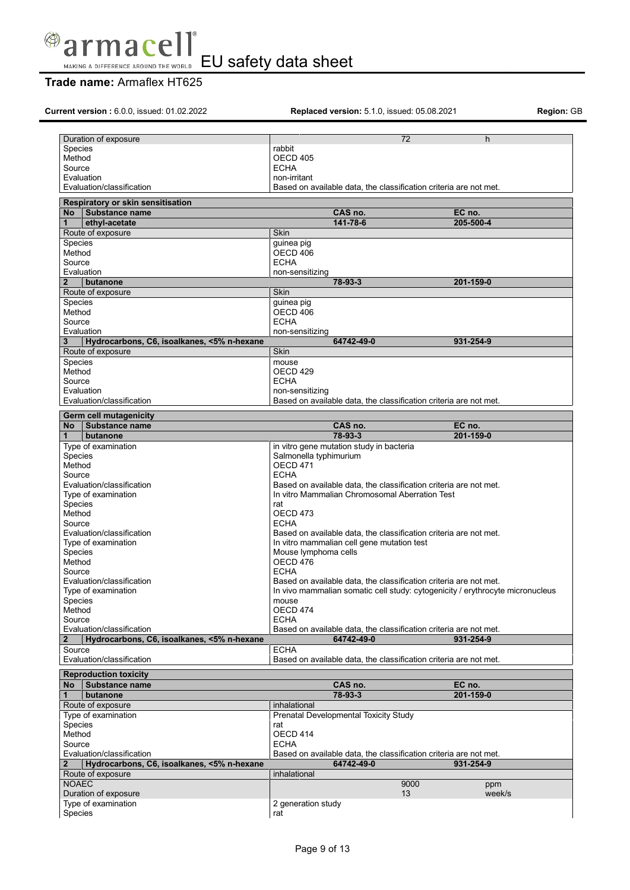

# **Trade name:** Armaflex HT625

| Current version: 6.0.0, issued: 01.02.2022                                                                                                         | <b>Replaced version:</b> 5.1.0, issued: 05.08.2021                            |              | Region: GE |
|----------------------------------------------------------------------------------------------------------------------------------------------------|-------------------------------------------------------------------------------|--------------|------------|
| Duration of exposure                                                                                                                               |                                                                               | 72<br>h      |            |
|                                                                                                                                                    |                                                                               |              |            |
| Species                                                                                                                                            | rabbit                                                                        |              |            |
| Method                                                                                                                                             | <b>OECD 405</b>                                                               |              |            |
| Source                                                                                                                                             | <b>ECHA</b>                                                                   |              |            |
| Evaluation                                                                                                                                         | non-irritant                                                                  |              |            |
| Evaluation/classification                                                                                                                          | Based on available data, the classification criteria are not met.             |              |            |
|                                                                                                                                                    |                                                                               |              |            |
| Respiratory or skin sensitisation<br>Substance name<br><b>No</b>                                                                                   | CAS no.                                                                       | EC no.       |            |
| ethyl-acetate<br>1                                                                                                                                 | 141-78-6                                                                      | 205-500-4    |            |
| Route of exposure                                                                                                                                  | <b>Skin</b>                                                                   |              |            |
|                                                                                                                                                    |                                                                               |              |            |
| Species                                                                                                                                            | guinea pig                                                                    |              |            |
| Method                                                                                                                                             | OECD 406                                                                      |              |            |
| Source                                                                                                                                             | <b>ECHA</b>                                                                   |              |            |
| Evaluation                                                                                                                                         | non-sensitizing                                                               |              |            |
| $\overline{2}$<br>butanone                                                                                                                         | 78-93-3                                                                       | 201-159-0    |            |
|                                                                                                                                                    |                                                                               |              |            |
| Route of exposure                                                                                                                                  | Skin                                                                          |              |            |
| Species                                                                                                                                            | guinea pig                                                                    |              |            |
| Method                                                                                                                                             | OECD 406                                                                      |              |            |
| Source                                                                                                                                             | <b>ECHA</b>                                                                   |              |            |
| Evaluation                                                                                                                                         | non-sensitizing                                                               |              |            |
| 3                                                                                                                                                  | 64742-49-0                                                                    | 931-254-9    |            |
| Hydrocarbons, C6, isoalkanes, <5% n-hexane                                                                                                         |                                                                               |              |            |
| Route of exposure                                                                                                                                  | <b>Skin</b>                                                                   |              |            |
| Species                                                                                                                                            | mouse                                                                         |              |            |
| Method                                                                                                                                             | OECD <sub>429</sub>                                                           |              |            |
| Source                                                                                                                                             | <b>ECHA</b>                                                                   |              |            |
| Evaluation                                                                                                                                         | non-sensitizing                                                               |              |            |
| Evaluation/classification                                                                                                                          | Based on available data, the classification criteria are not met.             |              |            |
|                                                                                                                                                    |                                                                               |              |            |
| <b>Germ cell mutagenicity</b>                                                                                                                      |                                                                               |              |            |
| No Substance name                                                                                                                                  | CAS no.                                                                       | EC no.       |            |
| butanone                                                                                                                                           | 78-93-3                                                                       | 201-159-0    |            |
| Type of examination                                                                                                                                | in vitro gene mutation study in bacteria                                      |              |            |
| Species                                                                                                                                            | Salmonella typhimurium                                                        |              |            |
| Method                                                                                                                                             | OECD 471                                                                      |              |            |
| Source                                                                                                                                             | <b>ECHA</b>                                                                   |              |            |
| Evaluation/classification                                                                                                                          | Based on available data, the classification criteria are not met.             |              |            |
|                                                                                                                                                    |                                                                               |              |            |
| Type of examination                                                                                                                                | In vitro Mammalian Chromosomal Aberration Test                                |              |            |
| Species                                                                                                                                            | rat                                                                           |              |            |
| Method                                                                                                                                             | OECD <sub>473</sub>                                                           |              |            |
| Source                                                                                                                                             | <b>ECHA</b>                                                                   |              |            |
| Evaluation/classification                                                                                                                          | Based on available data, the classification criteria are not met.             |              |            |
|                                                                                                                                                    |                                                                               |              |            |
| Type of examination                                                                                                                                | In vitro mammalian cell gene mutation test                                    |              |            |
| Species                                                                                                                                            | Mouse lymphoma cells                                                          |              |            |
| Method                                                                                                                                             | OECD 476                                                                      |              |            |
| Source                                                                                                                                             | <b>ECHA</b>                                                                   |              |            |
| Evaluation/classification                                                                                                                          | Based on available data, the classification criteria are not met.             |              |            |
|                                                                                                                                                    |                                                                               |              |            |
| Type of examination                                                                                                                                | In vivo mammalian somatic cell study: cytogenicity / erythrocyte micronucleus |              |            |
| Species                                                                                                                                            | mouse                                                                         |              |            |
| Method                                                                                                                                             | OECD 474                                                                      |              |            |
| Source                                                                                                                                             | <b>ECHA</b>                                                                   |              |            |
| Evaluation/classification                                                                                                                          | Based on available data, the classification criteria are not met.             |              |            |
| Hydrocarbons, C6, isoalkanes, <5% n-hexane<br>$\mathbf{2}$                                                                                         | 64742-49-0                                                                    | 931-254-9    |            |
| Source                                                                                                                                             | <b>ECHA</b>                                                                   |              |            |
|                                                                                                                                                    | Based on available data, the classification criteria are not met.             |              |            |
| Evaluation/classification                                                                                                                          |                                                                               |              |            |
| <b>Reproduction toxicity</b>                                                                                                                       |                                                                               |              |            |
| Substance name<br><b>No</b>                                                                                                                        | CAS no.                                                                       | EC no.       |            |
| butanone<br>1                                                                                                                                      | 78-93-3                                                                       | 201-159-0    |            |
| Route of exposure                                                                                                                                  | inhalational                                                                  |              |            |
|                                                                                                                                                    |                                                                               |              |            |
| Type of examination                                                                                                                                | Prenatal Developmental Toxicity Study                                         |              |            |
| Species                                                                                                                                            | rat                                                                           |              |            |
| Method                                                                                                                                             | OECD 414                                                                      |              |            |
|                                                                                                                                                    | <b>ECHA</b>                                                                   |              |            |
|                                                                                                                                                    |                                                                               |              |            |
|                                                                                                                                                    |                                                                               |              |            |
|                                                                                                                                                    | Based on available data, the classification criteria are not met.             |              |            |
| Hydrocarbons, C6, isoalkanes, <5% n-hexane                                                                                                         | 64742-49-0                                                                    | 931-254-9    |            |
|                                                                                                                                                    | inhalational                                                                  |              |            |
|                                                                                                                                                    |                                                                               | 9000<br>ppm  |            |
|                                                                                                                                                    |                                                                               | 13<br>week/s |            |
|                                                                                                                                                    |                                                                               |              |            |
| Source<br>Evaluation/classification<br>$\mathbf{2}$<br>Route of exposure<br><b>NOAEC</b><br>Duration of exposure<br>Type of examination<br>Species | 2 generation study<br>rat                                                     |              |            |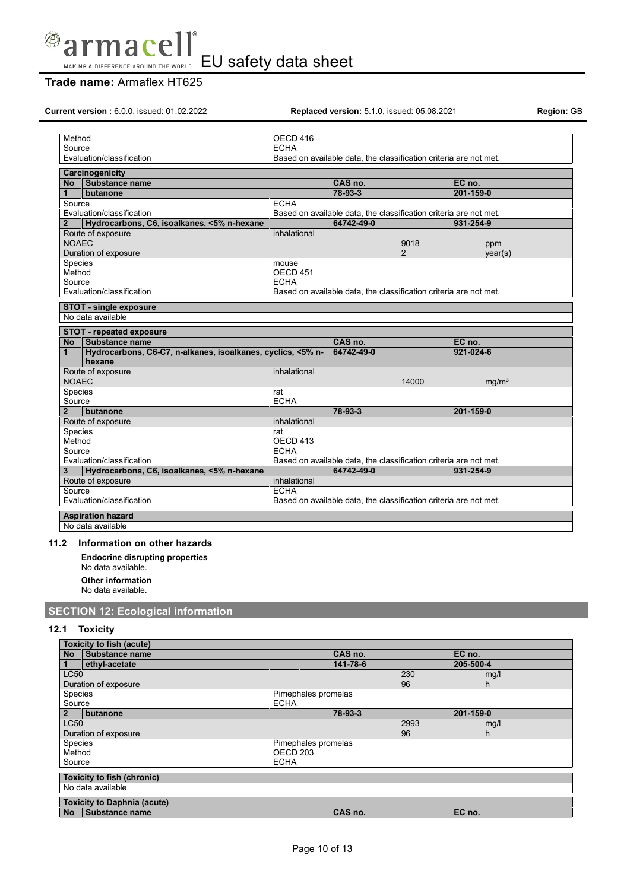

# **Trade name:** Armaflex HT625

| <b>Current version: 6.0.0, issued: 01.02.2022</b>                           | <b>Replaced version:</b> 5.1.0, issued: 05.08.2021                | <b>Region: GB</b>          |
|-----------------------------------------------------------------------------|-------------------------------------------------------------------|----------------------------|
| Method                                                                      | OECD 416                                                          |                            |
| Source                                                                      | <b>ECHA</b>                                                       |                            |
| Evaluation/classification                                                   | Based on available data, the classification criteria are not met. |                            |
|                                                                             |                                                                   |                            |
| Carcinogenicity<br><b>Substance name</b><br><b>No</b>                       | CAS no.                                                           | EC no.                     |
| butanone<br>1                                                               | 78-93-3                                                           | 201-159-0                  |
| Source                                                                      | <b>ECHA</b>                                                       |                            |
| Evaluation/classification                                                   | Based on available data, the classification criteria are not met. |                            |
| Hydrocarbons, C6, isoalkanes, <5% n-hexane<br>$\mathbf{2}$                  | 64742-49-0                                                        | 931-254-9                  |
| Route of exposure                                                           | inhalational                                                      |                            |
| <b>NOAEC</b>                                                                |                                                                   | 9018<br>ppm                |
| Duration of exposure                                                        |                                                                   | 2<br>year(s)               |
| Species                                                                     | mouse                                                             |                            |
| Method                                                                      | OECD <sub>451</sub>                                               |                            |
| Source<br>Evaluation/classification                                         | <b>ECHA</b>                                                       |                            |
|                                                                             | Based on available data, the classification criteria are not met. |                            |
| <b>STOT - single exposure</b>                                               |                                                                   |                            |
| No data available                                                           |                                                                   |                            |
| STOT - repeated exposure                                                    |                                                                   |                            |
| <b>No</b><br><b>Substance name</b>                                          | CAS no.                                                           | EC no.                     |
| Hydrocarbons, C6-C7, n-alkanes, isoalkanes, cyclics, <5% n-<br>$\mathbf{1}$ | 64742-49-0                                                        | 921-024-6                  |
| hexane                                                                      |                                                                   |                            |
| Route of exposure                                                           | inhalational                                                      |                            |
| <b>NOAEC</b>                                                                |                                                                   | 14000<br>mq/m <sup>3</sup> |
| Species<br>Source                                                           | rat<br><b>ECHA</b>                                                |                            |
| $\overline{2}$<br>butanone                                                  | 78-93-3                                                           | 201-159-0                  |
| Route of exposure                                                           | inhalational                                                      |                            |
| <b>Species</b>                                                              | rat                                                               |                            |
| Method                                                                      | OECD 413                                                          |                            |
| Source                                                                      | <b>ECHA</b>                                                       |                            |
| Evaluation/classification                                                   | Based on available data, the classification criteria are not met. |                            |
| Hydrocarbons, C6, isoalkanes, <5% n-hexane<br>3                             | 64742-49-0                                                        | 931-254-9                  |
| Route of exposure                                                           | inhalational                                                      |                            |
| Source                                                                      | <b>ECHA</b>                                                       |                            |
| Evaluation/classification                                                   | Based on available data, the classification criteria are not met. |                            |
| <b>Aspiration hazard</b>                                                    |                                                                   |                            |
| No data available                                                           |                                                                   |                            |
|                                                                             |                                                                   |                            |
| 11.2<br>Information on other hazards                                        |                                                                   |                            |
| <b>Endocrine disrupting properties</b><br>No data available.                |                                                                   |                            |
| <b>Other information</b>                                                    |                                                                   |                            |
| No data available.                                                          |                                                                   |                            |
| <b>SECTION 12: Ecological information</b>                                   |                                                                   |                            |
| <b>Toxicity</b><br>12.1                                                     |                                                                   |                            |
| <b>Toxicity to fish (acute)</b>                                             |                                                                   |                            |
| Substance name<br><b>No</b>                                                 | CAS no.                                                           | EC no.                     |
| ethyl-acetate<br>$\mathbf{1}$                                               | 141-78-6                                                          | 205-500-4                  |
| <b>LC50</b>                                                                 |                                                                   | 230<br>mg/l                |
| Duration of exposure                                                        |                                                                   | 96<br>h.                   |

Pimephales promelas<br>ECHA Species<br>Source **2 butanone 78-93-3 201-159-0** LC50 2993 mg/l Duration of exposure but a contract of exposure and the property of the property of the species of the species of the species of the species of the species of the species of the species of the species of the species of the Species **Pimephales promelas** Method CONSERVITY CONTROL CONTROL CONTROL CONTROL CONTROL CONTROL CONTROL CONTROL CONTROL CONTROL CONTROL CONTROL CONTROL CONTROL CONTROL CONTROL CONTROL CONTROL CONTROL CONTROL CONTROL CONTROL CONTROL CONTROL CONTROL CONT Source ECHA **Toxicity to fish (chronic)** No data available **Toxicity to Daphnia (acute) No Substance name CAS no. EC no.**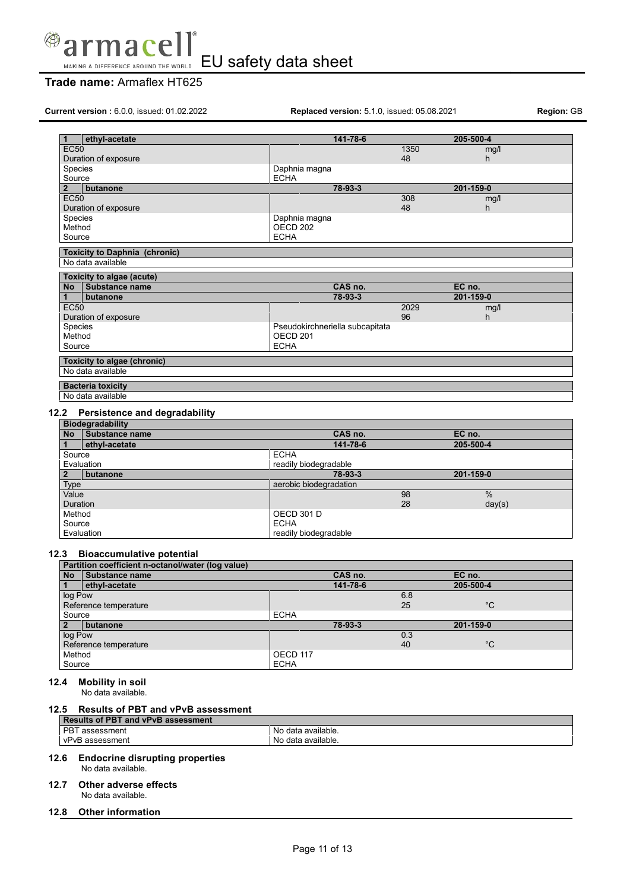

EU safety data sheet MAKING A DIFFERENCE AROUND THE WORLD

# **Trade name:** Armaflex HT625

**Current version :** 6.0.0, issued: 01.02.2022 **Replaced version:** 5.1.0, issued: 05.08.2021 **Region:** GB

| 1              | ethyl-acetate                                 | 141-78-6                        |      | 205-500-4 |  |
|----------------|-----------------------------------------------|---------------------------------|------|-----------|--|
| <b>EC50</b>    |                                               |                                 | 1350 | mg/l      |  |
|                | Duration of exposure                          |                                 | 48   | h         |  |
| Species        |                                               | Daphnia magna                   |      |           |  |
| Source         |                                               | <b>ECHA</b>                     |      |           |  |
| $\overline{2}$ | butanone                                      | 78-93-3                         |      | 201-159-0 |  |
| <b>EC50</b>    |                                               |                                 | 308  | mg/l      |  |
|                | Duration of exposure                          |                                 | 48   | h         |  |
| Species        |                                               | Daphnia magna                   |      |           |  |
| Method         |                                               | OECD <sub>202</sub>             |      |           |  |
| Source         |                                               | <b>ECHA</b>                     |      |           |  |
|                | <b>Toxicity to Daphnia (chronic)</b>          |                                 |      |           |  |
|                | No data available                             |                                 |      |           |  |
|                |                                               |                                 |      |           |  |
|                | Toxicity to algae (acute)                     |                                 |      |           |  |
|                |                                               |                                 |      |           |  |
| <b>No</b>      | Substance name                                | CAS no.                         |      | EC no.    |  |
| 1              | butanone                                      | 78-93-3                         |      | 201-159-0 |  |
| <b>EC50</b>    |                                               |                                 | 2029 | mg/l      |  |
|                | Duration of exposure                          |                                 | 96   | h         |  |
| Species        |                                               | Pseudokirchneriella subcapitata |      |           |  |
| Method         |                                               | OECD <sub>201</sub>             |      |           |  |
| Source         |                                               | <b>ECHA</b>                     |      |           |  |
|                |                                               |                                 |      |           |  |
|                | Toxicity to algae (chronic)                   |                                 |      |           |  |
|                | No data available                             |                                 |      |           |  |
|                | <b>Bacteria toxicity</b><br>No data available |                                 |      |           |  |

# **12.2 Persistence and degradability**

| <b>Biodegradability</b> |                       |                        |               |  |
|-------------------------|-----------------------|------------------------|---------------|--|
| No                      | <b>Substance name</b> | CAS no.                | EC no.        |  |
|                         | ethyl-acetate         | 141-78-6               | 205-500-4     |  |
| Source                  |                       | <b>ECHA</b>            |               |  |
| Evaluation              |                       | readily biodegradable  |               |  |
|                         | butanone              | 78-93-3                | 201-159-0     |  |
| <b>Type</b>             |                       | aerobic biodegradation |               |  |
| Value                   |                       | 98                     | $\frac{0}{0}$ |  |
| <b>Duration</b>         |                       | 28                     | day(s)        |  |
| Method                  |                       | <b>OECD 301 D</b>      |               |  |
| Source                  |                       | <b>ECHA</b>            |               |  |
| Evaluation              |                       | readily biodegradable  |               |  |

### **12.3 Bioaccumulative potential**

| Partition coefficient n-octanol/water (log value) |                |             |          |     |             |  |
|---------------------------------------------------|----------------|-------------|----------|-----|-------------|--|
| <b>No</b>                                         | Substance name |             | CAS no.  |     | EC no.      |  |
|                                                   | ethyl-acetate  |             | 141-78-6 |     | 205-500-4   |  |
| log Pow                                           |                |             |          | 6.8 |             |  |
| Reference temperature                             |                |             |          | 25  | $^{\circ}C$ |  |
| Source                                            |                | <b>ECHA</b> |          |     |             |  |
| $\overline{2}$                                    | butanone       |             | 78-93-3  |     | 201-159-0   |  |
| log Pow                                           |                |             |          | 0.3 |             |  |
| Reference temperature                             |                |             |          | 40  | $^{\circ}C$ |  |
| Method                                            |                | OECD 117    |          |     |             |  |
| Source                                            |                | <b>ECHA</b> |          |     |             |  |

#### **12.4 Mobility in soil**

No data available.

### **12.5 Results of PBT and vPvB assessment**

| <b>Results of PBT and vPvB assessment</b> |                    |  |  |  |
|-------------------------------------------|--------------------|--|--|--|
| PBT assessment                            | No data available. |  |  |  |
| vPvB assessment                           | No data available. |  |  |  |
| IO C. Fudeeshee dismuting preparation.    |                    |  |  |  |

#### **12.6 Endocrine disrupting properties** No data available.

# **12.7 Other adverse effects**

- No data available.
- **12.8 Other information**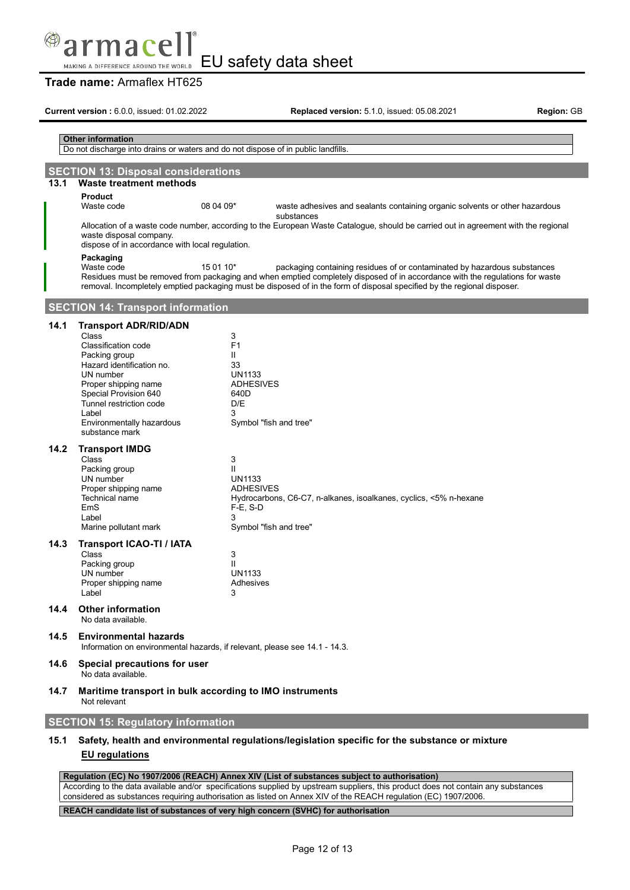# macel

EU safety data sheet MAKING A DIFFERENCE AROUND THE WORLD

# **Trade name:** Armaflex HT625

**Current version :** 6.0.0, issued: 01.02.2022 **Replaced version:** 5.1.0, issued: 05.08.2021 **Region:** GB

## **Other information** Do not discharge into drains or waters and do not dispose of in public landfills. **SECTION 13: Disposal considerations 13.1 Waste treatment methods Product**<br>Waste code 08 04 09\* waste adhesives and sealants containing organic solvents or other hazardous substances Allocation of a waste code number, according to the European Waste Catalogue, should be carried out in agreement with the regional waste disposal company. dispose of in accordance with local regulation. **Packaging** 15 01 10\* packaging containing residues of or contaminated by hazardous substances Residues must be removed from packaging and when emptied completely disposed of in accordance with the regulations for waste removal. Incompletely emptied packaging must be disposed of in the form of disposal specified by the regional disposer. **SECTION 14: Transport information 14.1 Transport ADR/RID/ADN** Class 3 Classification code F1<br>Packing group F1 Packing group II Hazard identification no. 33 UN number Proper shipping name ADHESIVES Special Provision 640<br>
Tunnel restriction code 
D/F Tunnel restriction code Label 3 Environmentally hazardous substance mark Symbol "fish and tree" **14.2 Transport IMDG** Class 3 Packing group II UN number Proper shipping name ADHESIVES<br>Technical name **ADHESIVES** Hydrocarbons, C6-C7, n-alkanes, isoalkanes, cyclics, <5% n-hexane EmS F-E, S-D Label 3 Marine pollutant mark Symbol "fish and tree" **14.3 Transport ICAO-TI / IATA** Class 3<br>Packing group 3 3 3 3 3 3 3 3 4 4 5 6 7 7 8 4 5 7 8 7 8 7 8 7 8 7 8 7 8 7 8 7 8 8 7 8 7 8 8 7 8 8 7 8 8 7 8 8 7 8 7 8 8 7 8 8 7 8 8 7 8 8 7 8 8 7 8 8 7 8 8 7 8 8 7 8 8 7 8 8 7 8 8 7 8 8 7 8 8 7 8 8 7 8 8 7 8 8 7 8 Packing group<br>
UN number<br>
UN1133 UN number Proper shipping name **Adhesives** Label 3 **14.4 Other information** No data available. **14.5 Environmental hazards** Information on environmental hazards, if relevant, please see 14.1 - 14.3. **14.6 Special precautions for user** No data available. **14.7 Maritime transport in bulk according to IMO instruments** Not relevant **SECTION 15: Regulatory information 15.1 Safety, health and environmental regulations/legislation specific for the substance or mixture EU regulations**

#### **Regulation (EC) No 1907/2006 (REACH) Annex XIV (List of substances subject to authorisation)**

According to the data available and/or specifications supplied by upstream suppliers, this product does not contain any substances considered as substances requiring authorisation as listed on Annex XIV of the REACH regulation (EC) 1907/2006.

**REACH candidate list of substances of very high concern (SVHC) for authorisation**